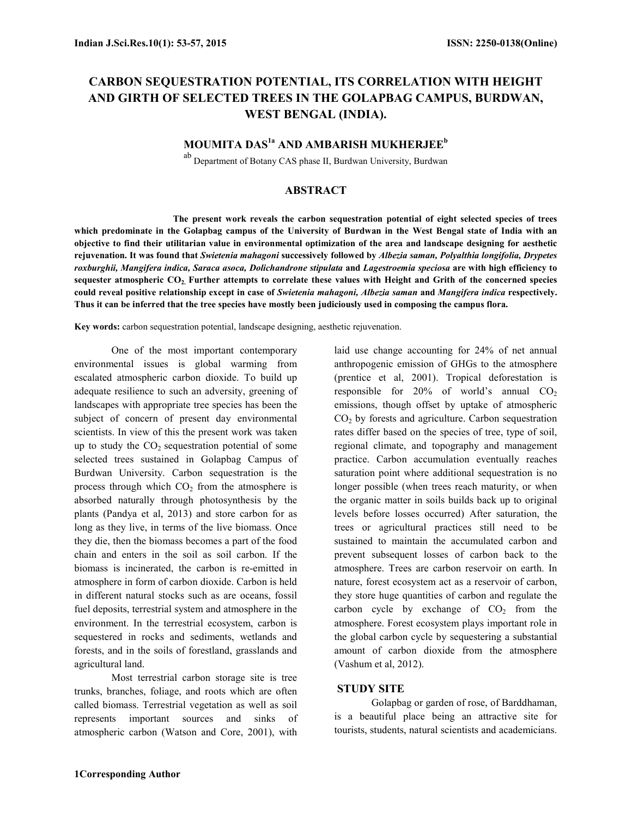# CARBON SEQUESTRATION POTENTIAL, ITS CORRELATION WITH HEIGHT AND GIRTH OF SELECTED TREES IN THE GOLAPBAG CAMPUS, BURDWAN, WEST BENGAL (INDIA).

## MOUMITA DAS<sup>1a</sup> AND AMBARISH MUKHERJEE<sup>b</sup>

ab Department of Botany CAS phase II, Burdwan University, Burdwan

## ABSTRACT

The present work reveals the carbon sequestration potential of eight selected species of trees which predominate in the Golapbag campus of the University of Burdwan in the West Bengal state of India with an objective to find their utilitarian value in environmental optimization of the area and landscape designing for aesthetic rejuvenation. It was found that Swietenia mahagoni successively followed by Albezia saman, Polyalthia longifolia, Drypetes roxburghii, Mangifera indica, Saraca asoca, Dolichandrone stipulata and Lagestroemia speciosa are with high efficiency to sequester atmospheric CO<sub>2</sub>. Further attempts to correlate these values with Height and Grith of the concerned species could reveal positive relationship except in case of Swietenia mahagoni, Albezia saman and Mangifera indica respectively. Thus it can be inferred that the tree species have mostly been judiciously used in composing the campus flora.

Key words: carbon sequestration potential, landscape designing, aesthetic rejuvenation.

One of the most important contemporary environmental issues is global warming from escalated atmospheric carbon dioxide. To build up adequate resilience to such an adversity, greening of landscapes with appropriate tree species has been the subject of concern of present day environmental scientists. In view of this the present work was taken up to study the  $CO<sub>2</sub>$  sequestration potential of some selected trees sustained in Golapbag Campus of Burdwan University. Carbon sequestration is the process through which  $CO<sub>2</sub>$  from the atmosphere is absorbed naturally through photosynthesis by the plants (Pandya et al, 2013) and store carbon for as long as they live, in terms of the live biomass. Once they die, then the biomass becomes a part of the food chain and enters in the soil as soil carbon. If the biomass is incinerated, the carbon is re-emitted in atmosphere in form of carbon dioxide. Carbon is held in different natural stocks such as are oceans, fossil fuel deposits, terrestrial system and atmosphere in the environment. In the terrestrial ecosystem, carbon is sequestered in rocks and sediments, wetlands and forests, and in the soils of forestland, grasslands and agricultural land.

Most terrestrial carbon storage site is tree trunks, branches, foliage, and roots which are often called biomass. Terrestrial vegetation as well as soil represents important sources and sinks of atmospheric carbon (Watson and Core, 2001), with

laid use change accounting for 24% of net annual anthropogenic emission of GHGs to the atmosphere (prentice et al, 2001). Tropical deforestation is responsible for  $20\%$  of world's annual  $CO<sub>2</sub>$ emissions, though offset by uptake of atmospheric  $CO<sub>2</sub>$  by forests and agriculture. Carbon sequestration rates differ based on the species of tree, type of soil, regional climate, and topography and management practice. Carbon accumulation eventually reaches saturation point where additional sequestration is no longer possible (when trees reach maturity, or when the organic matter in soils builds back up to original levels before losses occurred) After saturation, the trees or agricultural practices still need to be sustained to maintain the accumulated carbon and prevent subsequent losses of carbon back to the atmosphere. Trees are carbon reservoir on earth. In nature, forest ecosystem act as a reservoir of carbon, they store huge quantities of carbon and regulate the carbon cycle by exchange of  $CO<sub>2</sub>$  from the atmosphere. Forest ecosystem plays important role in the global carbon cycle by sequestering a substantial amount of carbon dioxide from the atmosphere (Vashum et al, 2012).

### STUDY SITE

Golapbag or garden of rose, of Barddhaman, is a beautiful place being an attractive site for tourists, students, natural scientists and academicians.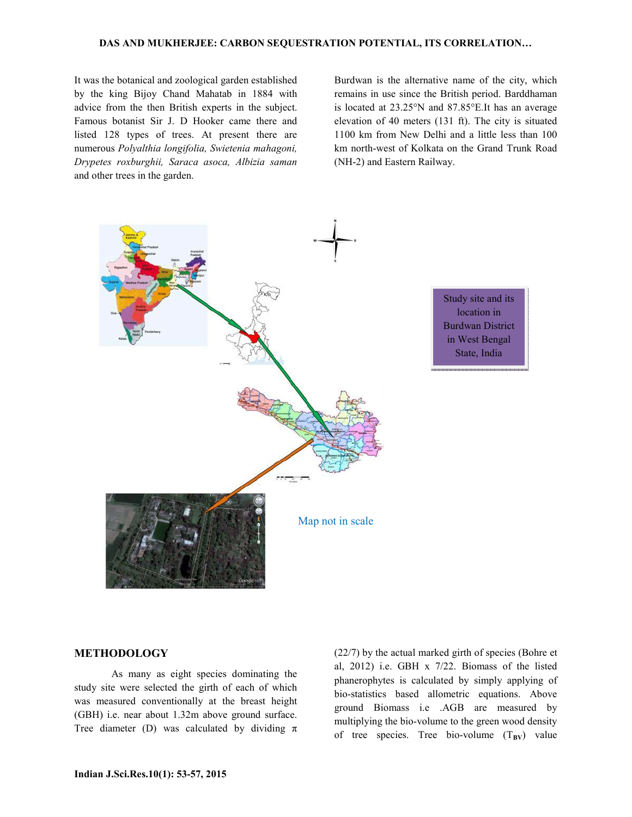#### DAS AND MUKHERJEE: CARBON SEQUESTRATION POTENTIAL, ITS CORRELATION…

It was the botanical and zoological garden established by the king Bijoy Chand Mahatab in 1884 with advice from the then British experts in the subject. Famous botanist Sir J. D Hooker came there and listed 128 types of trees. At present there are numerous Polyalthia longifolia, Swietenia mahagoni, Drypetes roxburghii, Saraca asoca, Albizia saman and other trees in the garden.

Burdwan is the alternative name of the city, which remains in use since the British period. Barddhaman is located at 23.25°N and 87.85°E.It has an average elevation of 40 meters (131 ft). The city is situated 1100 km from New Delhi and a little less than 100 km north-west of Kolkata on the Grand Trunk Road (NH-2) and Eastern Railway.



### METHODOLOGY

As many as eight species dominating the study site were selected the girth of each of which was measured conventionally at the breast height (GBH) i.e. near about 1.32m above ground surface. Tree diameter (D) was calculated by dividing  $\pi$  (22/7) by the actual marked girth of species (Bohre et al, 2012) i.e. GBH x 7/22. Biomass of the listed phanerophytes is calculated by simply applying of bio-statistics based allometric equations. Above ground Biomass i.e .AGB are measured by multiplying the bio-volume to the green wood density of tree species. Tree bio-volume  $(T_{BV})$  value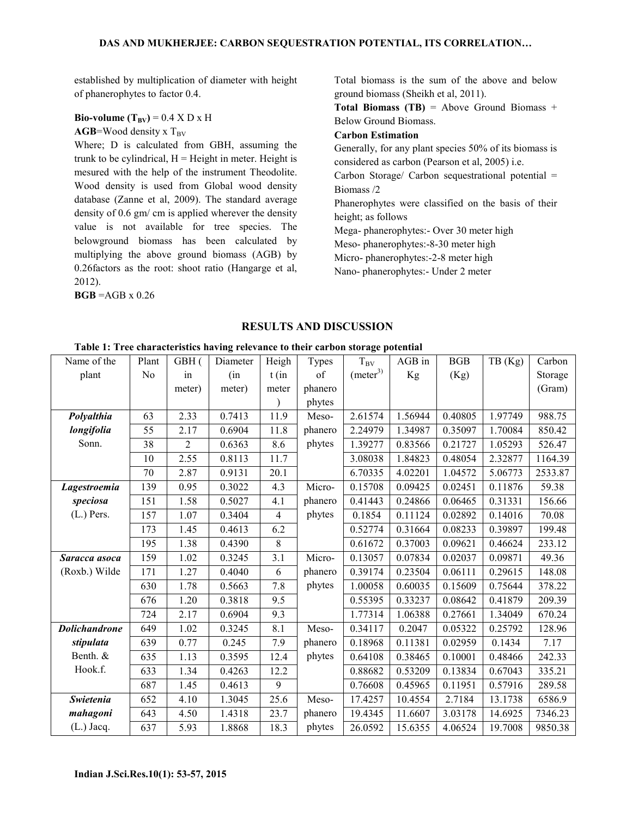established by multiplication of diameter with height of phanerophytes to factor 0.4.

### Bio-volume  $(T_{BV})$  = 0.4 X D x H  $AGB=Wood$  density x  $T_{BV}$

Where; D is calculated from GBH, assuming the trunk to be cylindrical,  $H =$  Height in meter. Height is mesured with the help of the instrument Theodolite. Wood density is used from Global wood density database (Zanne et al, 2009). The standard average density of 0.6 gm/ cm is applied wherever the density value is not available for tree species. The belowground biomass has been calculated by multiplying the above ground biomass (AGB) by 0.26factors as the root: shoot ratio (Hangarge et al, 2012).

 $BGB = AGB \times 0.26$ 

Total biomass is the sum of the above and below ground biomass (Sheikh et al, 2011).

**Total Biomass (TB)** = Above Ground Biomass + Below Ground Biomass.

## Carbon Estimation

Generally, for any plant species 50% of its biomass is considered as carbon (Pearson et al, 2005) i.e.

Carbon Storage/ Carbon sequestrational potential = Biomass /2

Phanerophytes were classified on the basis of their height; as follows

Mega- phanerophytes:- Over 30 meter high

Meso- phanerophytes:-8-30 meter high

Micro- phanerophytes:-2-8 meter high

Nano- phanerophytes:- Under 2 meter

## RESULTS AND DISCUSSION

| Name of the          | Plant | GBH(           | Diameter | Heigh          | Types   | $T_{\rm BV}$          | AGB in  | <b>BGB</b> | TB (Kg) | Carbon  |
|----------------------|-------|----------------|----------|----------------|---------|-----------------------|---------|------------|---------|---------|
| plant                | No    | in             | (in      | $t$ (in        | of      | (meter <sup>3</sup> ) | Kg      | (Kg)       |         | Storage |
|                      |       | meter)         | meter)   | meter          | phanero |                       |         |            |         | (Gram)  |
|                      |       |                |          |                | phytes  |                       |         |            |         |         |
| Polyalthia           | 63    | 2.33           | 0.7413   | 11.9           | Meso-   | 2.61574               | 1.56944 | 0.40805    | 1.97749 | 988.75  |
| longifolia           | 55    | 2.17           | 0.6904   | 11.8           | phanero | 2.24979               | 1.34987 | 0.35097    | 1.70084 | 850.42  |
| Sonn.                | 38    | $\overline{2}$ | 0.6363   | 8.6            | phytes  | 1.39277               | 0.83566 | 0.21727    | 1.05293 | 526.47  |
|                      | 10    | 2.55           | 0.8113   | 11.7           |         | 3.08038               | 1.84823 | 0.48054    | 2.32877 | 1164.39 |
|                      | 70    | 2.87           | 0.9131   | 20.1           |         | 6.70335               | 4.02201 | 1.04572    | 5.06773 | 2533.87 |
| Lagestroemia         | 139   | 0.95           | 0.3022   | 4.3            | Micro-  | 0.15708               | 0.09425 | 0.02451    | 0.11876 | 59.38   |
| speciosa             | 151   | 1.58           | 0.5027   | 4.1            | phanero | 0.41443               | 0.24866 | 0.06465    | 0.31331 | 156.66  |
| $(L)$ Pers.          | 157   | 1.07           | 0.3404   | $\overline{4}$ | phytes  | 0.1854                | 0.11124 | 0.02892    | 0.14016 | 70.08   |
|                      | 173   | 1.45           | 0.4613   | 6.2            |         | 0.52774               | 0.31664 | 0.08233    | 0.39897 | 199.48  |
|                      | 195   | 1.38           | 0.4390   | 8              |         | 0.61672               | 0.37003 | 0.09621    | 0.46624 | 233.12  |
| Saracca asoca        | 159   | 1.02           | 0.3245   | 3.1            | Micro-  | 0.13057               | 0.07834 | 0.02037    | 0.09871 | 49.36   |
| (Roxb.) Wilde        | 171   | 1.27           | 0.4040   | 6              | phanero | 0.39174               | 0.23504 | 0.06111    | 0.29615 | 148.08  |
|                      | 630   | 1.78           | 0.5663   | 7.8            | phytes  | 1.00058               | 0.60035 | 0.15609    | 0.75644 | 378.22  |
|                      | 676   | 1.20           | 0.3818   | 9.5            |         | 0.55395               | 0.33237 | 0.08642    | 0.41879 | 209.39  |
|                      | 724   | 2.17           | 0.6904   | 9.3            |         | 1.77314               | 1.06388 | 0.27661    | 1.34049 | 670.24  |
| <b>Dolichandrone</b> | 649   | 1.02           | 0.3245   | 8.1            | Meso-   | 0.34117               | 0.2047  | 0.05322    | 0.25792 | 128.96  |
| stipulata            | 639   | 0.77           | 0.245    | 7.9            | phanero | 0.18968               | 0.11381 | 0.02959    | 0.1434  | 7.17    |
| Benth. &             | 635   | 1.13           | 0.3595   | 12.4           | phytes  | 0.64108               | 0.38465 | 0.10001    | 0.48466 | 242.33  |
| Hook.f.              | 633   | 1.34           | 0.4263   | 12.2           |         | 0.88682               | 0.53209 | 0.13834    | 0.67043 | 335.21  |
|                      | 687   | 1.45           | 0.4613   | 9              |         | 0.76608               | 0.45965 | 0.11951    | 0.57916 | 289.58  |
| Swietenia            | 652   | 4.10           | 1.3045   | 25.6           | Meso-   | 17.4257               | 10.4554 | 2.7184     | 13.1738 | 6586.9  |
| mahagoni             | 643   | 4.50           | 1.4318   | 23.7           | phanero | 19.4345               | 11.6607 | 3.03178    | 14.6925 | 7346.23 |
| $(L.)$ Jacq.         | 637   | 5.93           | 1.8868   | 18.3           | phytes  | 26.0592               | 15.6355 | 4.06524    | 19.7008 | 9850.38 |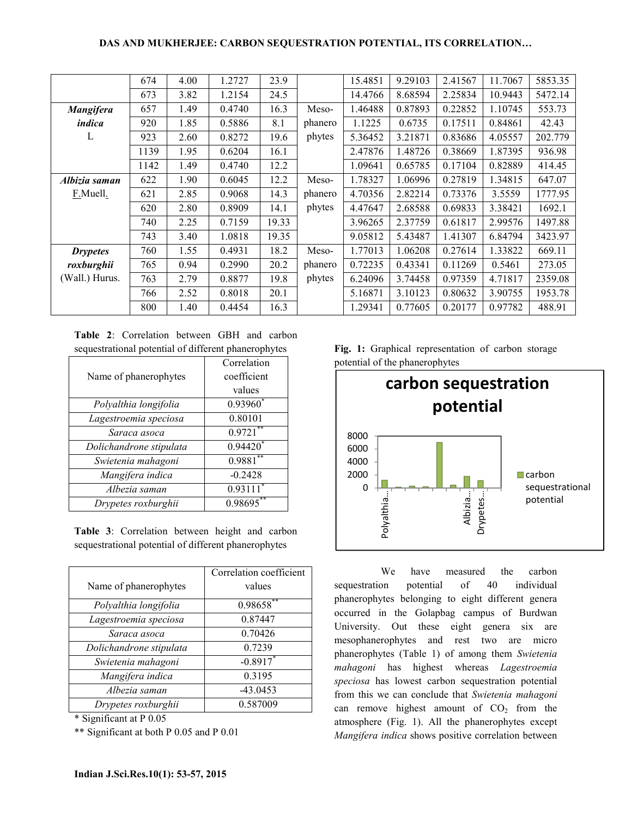## DAS AND MUKHERJEE: CARBON SEQUESTRATION POTENTIAL, ITS CORRELATION…

|                  | 674  | 4.00 | 1.2727 | 23.9  |         | 15.4851 | 9.29103 | 2.41567 | 11.7067 | 5853.35 |
|------------------|------|------|--------|-------|---------|---------|---------|---------|---------|---------|
|                  | 673  | 3.82 | 1.2154 | 24.5  |         | 14.4766 | 8.68594 | 2.25834 | 10.9443 | 5472.14 |
| <b>Mangifera</b> | 657  | 1.49 | 0.4740 | 16.3  | Meso-   | 1.46488 | 0.87893 | 0.22852 | 1.10745 | 553.73  |
| indica           | 920  | 1.85 | 0.5886 | 8.1   | phanero | 1.1225  | 0.6735  | 0.17511 | 0.84861 | 42.43   |
| L                | 923  | 2.60 | 0.8272 | 19.6  | phytes  | 5.36452 | 3.21871 | 0.83686 | 4.05557 | 202.779 |
|                  | 1139 | 1.95 | 0.6204 | 16.1  |         | 2.47876 | 1.48726 | 0.38669 | 1.87395 | 936.98  |
|                  | 1142 | 1.49 | 0.4740 | 12.2  |         | 1.09641 | 0.65785 | 0.17104 | 0.82889 | 414.45  |
| Albizia saman    | 622  | 1.90 | 0.6045 | 12.2  | Meso-   | 1.78327 | 1.06996 | 0.27819 | 1.34815 | 647.07  |
| F.Muell.         | 621  | 2.85 | 0.9068 | 14.3  | phanero | 4.70356 | 2.82214 | 0.73376 | 3.5559  | 1777.95 |
|                  | 620  | 2.80 | 0.8909 | 14.1  | phytes  | 4.47647 | 2.68588 | 0.69833 | 3.38421 | 1692.1  |
|                  | 740  | 2.25 | 0.7159 | 19.33 |         | 3.96265 | 2.37759 | 0.61817 | 2.99576 | 1497.88 |
|                  | 743  | 3.40 | 1.0818 | 19.35 |         | 9.05812 | 5.43487 | 1.41307 | 6.84794 | 3423.97 |
| <b>Drypetes</b>  | 760  | 1.55 | 0.4931 | 18.2  | Meso-   | 1.77013 | 1.06208 | 0.27614 | 1.33822 | 669.11  |
| roxburghii       | 765  | 0.94 | 0.2990 | 20.2  | phanero | 0.72235 | 0.43341 | 0.11269 | 0.5461  | 273.05  |
| (Wall.) Hurus.   | 763  | 2.79 | 0.8877 | 19.8  | phytes  | 6.24096 | 3.74458 | 0.97359 | 4.71817 | 2359.08 |
|                  | 766  | 2.52 | 0.8018 | 20.1  |         | 5.16871 | 3.10123 | 0.80632 | 3.90755 | 1953.78 |
|                  | 800  | 1.40 | 0.4454 | 16.3  |         | 1.29341 | 0.77605 | 0.20177 | 0.97782 | 488.91  |

Table 2: Correlation between GBH and carbon sequestrational potential of different phanerophytes

|                         | Correlation |
|-------------------------|-------------|
| Name of phanerophytes   | coefficient |
|                         | values      |
| Polyalthia longifolia   | $0.93960^*$ |
| Lagestroemia speciosa   | 0.80101     |
| Saraca asoca            | 0.9721      |
| Dolichandrone stipulata | $0.94420*$  |
| Swietenia mahagoni      | 0.9881      |
| Mangifera indica        | $-0.2428$   |
| Albezia saman           | 0.93111     |
| Drypetes roxburghii     | 0.98695     |

Table 3: Correlation between height and carbon sequestrational potential of different phanerophytes

| Correlation coefficient |
|-------------------------|
| values                  |
| 0.98658*                |
| 0.87447                 |
| 0.70426                 |
| 0.7239                  |
| $-0.8917$ *             |
| 0.3195                  |
| $-43.0453$              |
| 0.587009                |
|                         |

\* Significant at P 0.05

\*\* Significant at both P 0.05 and P 0.01

Fig. 1: Graphical representation of carbon storage potential of the phanerophytes



 We have measured the carbon sequestration potential of 40 individual phanerophytes belonging to eight different genera occurred in the Golapbag campus of Burdwan University. Out these eight genera six are mesophanerophytes and rest two are micro phanerophytes (Table 1) of among them Swietenia mahagoni has highest whereas Lagestroemia speciosa has lowest carbon sequestration potential from this we can conclude that Swietenia mahagoni can remove highest amount of  $CO<sub>2</sub>$  from the atmosphere (Fig. 1). All the phanerophytes except Mangifera indica shows positive correlation between